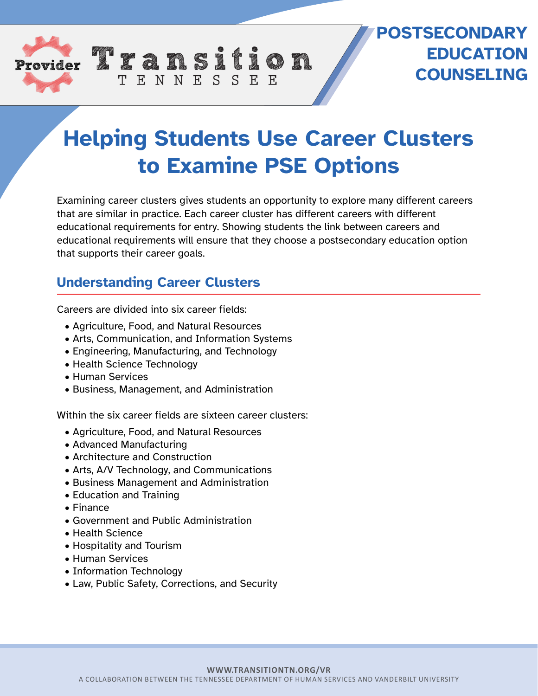

## **POSTSECONDARY EDUCATION COUNSELING**

## **Helping Students Use Career Clusters to Examine PSE Options**

Examining career clusters gives students an opportunity to explore many different careers that are similar in practice. Each career cluster has different careers with different educational requirements for entry. Showing students the link between careers and educational requirements will ensure that they choose a postsecondary education option that supports their career goals.

## **Understanding Career Clusters**

Careers are divided into six career fields:

- Agriculture, Food, and Natural Resources
- Arts, Communication, and Information Systems

TENNESSEE

- Engineering, Manufacturing, and Technology
- Health Science Technology
- Human Services
- Business, Management, and Administration

Within the six career fields are sixteen career clusters:

- Agriculture, Food, and Natural Resources
- Advanced Manufacturing
- Architecture and Construction
- Arts, A/V Technology, and Communications
- Business Management and Administration
- Education and Training
- Finance
- Government and Public Administration
- Health Science
- Hospitality and Tourism
- Human Services
- Information Technology
- Law, Public Safety, Corrections, and Security